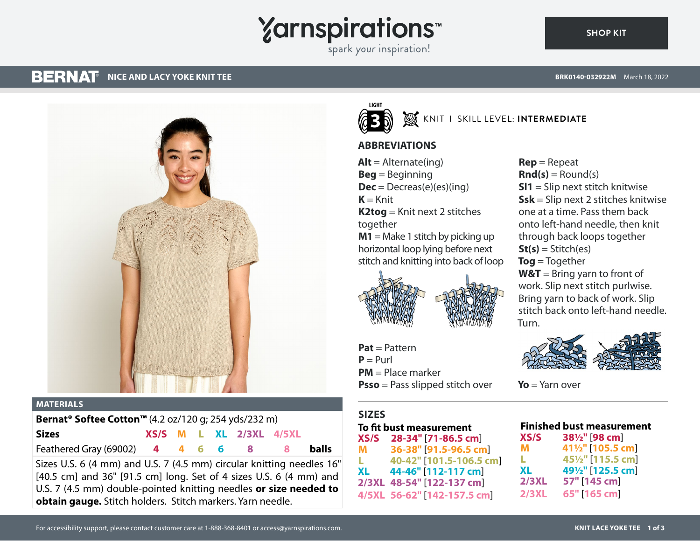# **Yarnspirations**

spark your inspiration!

#### **BERNAT NICE AND LACY YOKE KNIT TEE BRK0140-032922M** | March 18, 2022

**SHOP KIT**



### **MATERIALS**

| <b>Bernat<sup>®</sup> Softee Cotton<sup>™</sup> (4.2 oz/120 g; 254 yds/232 m)</b> |  |  |  |  |                             |  |              |
|-----------------------------------------------------------------------------------|--|--|--|--|-----------------------------|--|--------------|
| <b>Sizes</b>                                                                      |  |  |  |  | $XS/S$ M L XL $2/3XL$ 4/5XL |  |              |
| Feathered Gray (69002) 4 4 6 6 8 8                                                |  |  |  |  |                             |  | <b>balls</b> |

Sizes U.S. 6 (4 mm) and U.S. 7 (4.5 mm) circular knitting needles 16" [40.5 cm] and 36" [91.5 cm] long. Set of 4 sizes U.S. 6 (4 mm) and U.S. 7 (4.5 mm) double-pointed knitting needles **or size needed to obtain gauge.** Stitch holders. Stitch markers. Yarn needle.



## KNIT I SKILL LEVEL: **INTERMEDIATE**

## **ABBREVIATIONS**

 $Alt =$  Alternate(ing) **Beg** = Beginning **Dec** = Decreas(e)(es)(ing)  $K =$ Knit **K2tog** = Knit next 2 stitches together **M1** = Make 1 stitch by picking up horizontal loop lying before next stitch and knitting into back of loop



**Pat** = Pattern  $P = Purl$ **PM** = Place marker **Psso** = Pass slipped stitch over

## **SIZES**

**To fit bust measurement XS/S 28-34"** [**71-86.5 cm**] **M 36-38"** [**91.5-96.5 cm**] **L 40-42"** [**101.5-106.5 cm**] **XL 44-46"** [**112-117 cm**] **2/3XL 48-54"** [**122-137 cm**] **4/5XL 56-62"** [**142-157.5 cm**]

**Rep** = Repeat  $\text{Rnd}(s) =$  Round(s) **Sl1** = Slip next stitch knitwise **Ssk** = Slip next 2 stitches knitwise one at a time. Pass them back onto left-hand needle, then knit through back loops together  $St(s) = Stitch(es)$ **Tog** = Together **W&T** = Bring yarn to front of work. Slip next stitch purlwise. Bring yarn to back of work. Slip stitch back onto left-hand needle. Turn.



**Yo** = Yarn over

## **Finished bust measurement**

| XS/S         | 381/2" [98 cm]                              |
|--------------|---------------------------------------------|
| м            | 411/2" [105.5 cm]                           |
| L            | 45 <sup>1</sup> / <sub>2</sub> " [115.5 cm] |
| XL           | 49 <sup>1</sup> / <sub>2</sub> " [125.5 cm] |
| 2/3XL        | 57" [145 cm]                                |
| <b>2/3XL</b> | 65" [165 cm]                                |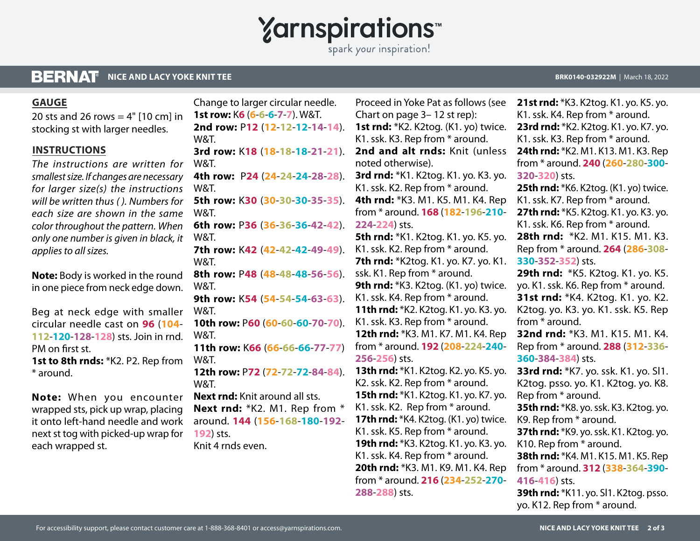**Yarnspirations** 

spark your inspiration!

#### **BERNAT NICE AND LACY YOKE KNIT TEE**

## **GAUGE**

20 sts and 26 rows  $=$  4" [10 cm] in stocking st with larger needles.

## **INSTRUCTIONS**

*The instructions are written for smallest size. If changes are necessary for larger size(s) the instructions will be written thus ( ). Numbers for each size are shown in the same color throughout the pattern. When only one number is given in black, it applies to all sizes.*

**Note:** Body is worked in the round in one piece from neck edge down.

Beg at neck edge with smaller circular needle cast on **96** (**104**- **112**-**120**-**128**-**128**) sts. Join in rnd. PM on first st. **1st to 8th rnds:** \*K2. P2. Rep from \* around.

**Note:** When you encounter wrapped sts, pick up wrap, placing it onto left-hand needle and work next st tog with picked-up wrap for each wrapped st.

**2nd row:** P**12** (**12**-**12**-**12**-**14**-**14**). W&T. **3rd row:** K**18** (**18**-**18**-**18**-**21**-**21**). W&T. **4th row:** P**24** (**24**-**24**-**24**-**28**-**28**). W&T. **5th row:** K**30** (**30**-**30**-**30**-**35**-**35**). W&T. **6th row:** P**36** (**36**-**36**-**36**-**42**-**42**). W&T. **7th row:** K**42** (**42**-**42**-**42**-**49**-**49**). W&T. **8th row:** P**48** (**48**-**48**-**48**-**56**-**56**). W&T. **9th row:** K**54** (**54**-**54**-**54**-**63**-**63**). W&T. **10th row:** P**60** (**60**-**60**-**60**-**70**-**70**). W&T. **11th row:** K**66** (**66**-**66**-**66**-**77**-**77**) W&T. **12th row:** P**72** (**72**-**72**-**72**-**84**-**84**). W&T. **Next rnd:** Knit around all sts. Next rnd: \*K2. M1. Rep from \* around. **144** (**156**-**168**-**180**-**192**- **192**) sts. Knit 4 rnds even.

Change to larger circular needle. **1st row:** K**6** (**6**-**6**-**6**-**7**-**7**). W&T.

Proceed in Yoke Pat as follows (see Chart on page 3– 12 st rep): **1st rnd:** \*K2. K2tog. (K1. yo) twice. K1. ssk. K3. Rep from \* around. **2nd and alt rnds:** Knit (unless noted otherwise). **3rd rnd:** \*K1. K2tog. K1. yo. K3. yo. K1. ssk. K2. Rep from \* around. **4th rnd:** \*K3. M1. K5. M1. K4. Rep from \* around. **168** (**182**-**196**-**210**- **224**-**224**) sts. **5th rnd:** \*K1. K2tog. K1. yo. K5. yo. K1. ssk. K2. Rep from \* around.

**7th rnd:** \*K2tog. K1. yo. K7. yo. K1. ssk. K1. Rep from \* around. **9th rnd:** \*K3. K2tog. (K1. yo) twice. K1. ssk. K4. Rep from \* around. **11th rnd:** \*K2. K2tog. K1. yo. K3. yo. K1. ssk. K3. Rep from \* around. **12th rnd:** \*K3. M1. K7. M1. K4. Rep from \* around. **192** (**208**-**224**-**240**- **256**-**256**) sts.

**13th rnd:** \*K1. K2tog. K2. yo. K5. yo. K2. ssk. K2. Rep from \* around. **15th rnd:** \*K1. K2tog. K1. yo. K7. yo. K1. ssk. K2. Rep from \* around. **17th rnd:** \*K4. K2tog. (K1. yo) twice. K1. ssk. K5. Rep from \* around. **19th rnd:** \*K3. K2tog. K1. yo. K3. yo. K1. ssk. K4. Rep from \* around. **20th rnd:** \*K3. M1. K9. M1. K4. Rep from \* around. **216** (**234**-**252**-**270**- **288**-**288**) sts.

**BRK0140-032922M** | March 18, 2022

**21st rnd:** \*K3. K2tog. K1. yo. K5. yo. K1. ssk. K4. Rep from \* around. **23rd rnd:** \*K2. K2tog. K1. yo. K7. yo. K1. ssk. K3. Rep from \* around. **24th rnd:** \*K2. M1. K13. M1. K3. Rep from \* around. **240** (**260**-**280**-**300**- **320**-**320**) sts. **25th rnd:** \*K6. K2tog. (K1. yo) twice. K1. ssk. K7. Rep from \* around. **27th rnd:** \*K5. K2tog. K1. yo. K3. yo. K1. ssk. K6. Rep from \* around. **28th rnd:** \*K2. M1. K15. M1. K3. Rep from \* around. **264** (**286**-**308**- **330**-**352**-**352**) sts. **29th rnd:** \*K5. K2tog. K1. yo. K5. yo. K1. ssk. K6. Rep from \* around. **31st rnd:** \*K4. K2tog. K1. yo. K2. K2tog. yo. K3. yo. K1. ssk. K5. Rep from \* around. **32nd rnd:** \*K3. M1. K15. M1. K4. Rep from \* around. **288** (**312**-**336**- **360**-**384**-**384**) sts. **33rd rnd:** \*K7. yo. ssk. K1. yo. Sl1. K2tog. psso. yo. K1. K2tog. yo. K8. Rep from \* around. **35th rnd:** \*K8. yo. ssk. K3. K2tog. yo. K9. Rep from \* around. **37th rnd:** \*K9. yo. ssk. K1. K2tog. yo. K10. Rep from \* around. **38th rnd:** \*K4. M1. K15. M1. K5. Rep from \* around. **312** (**338**-**364**-**390**- **416**-**416**) sts.

**39th rnd:** \*K11. yo. Sl1. K2tog. psso. yo. K12. Rep from \* around.